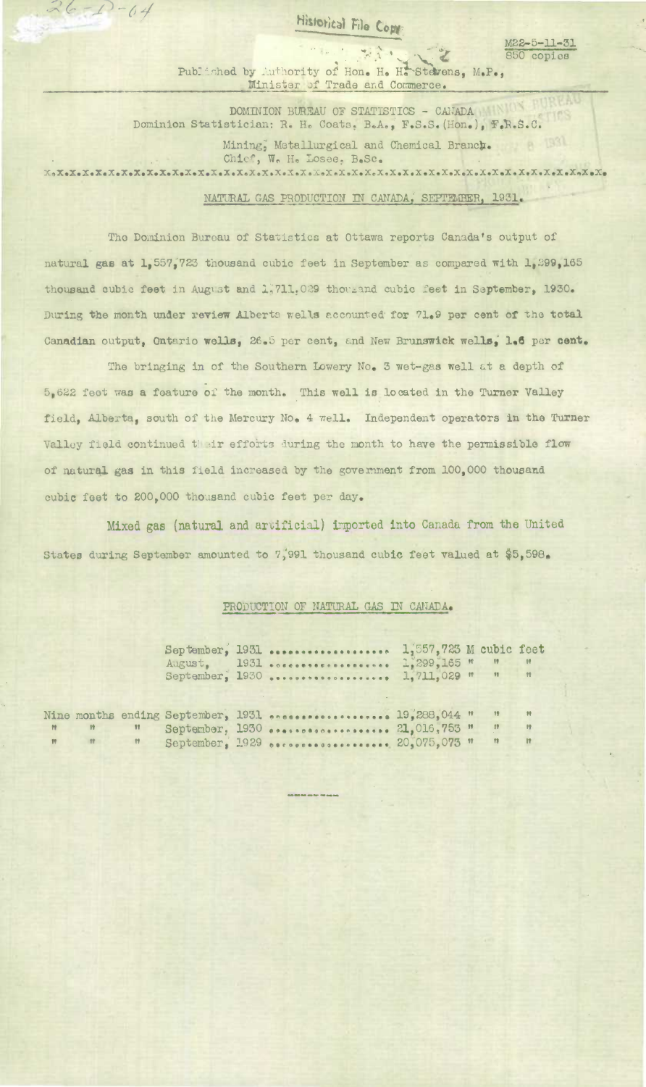Historical File Copy

M22-5-11-31

850 copies

 $26 - 1 - 64$ 

1. 生命  $\frac{1}{\sqrt{2}}$ Published by Authority of Hon. H. H. Stevens, M.P., Minister of Trade and Commerce.

DOMINION BUREAU OF STATISTICS - CANADA Dominion Statistician: R. H. Coats, B.A., F.S.S. (Hon.), F.R.S.C. Mining, Metallurgical and Chemical Branch. 8 1931 Chief, W. H. Losee, B.Sc. 

## NATURAL GAS PRODUCTION IN CANADA, SEPTEMBER, 1931.

The Dominion Bureau of Statistics at Ottawa reports Canada's output of natural gas at 1,557,723 thousand cubic feet in September as compared with 1,299,165 thousand cubic feet in August and 1,711,029 thousand cubic feet in September, 1930. During the month under review Alberta wells accounted for 71.9 per cent of the total Canadian output, Ontario wells, 26.5 per cent, and New Brunswick wells, 1.6 per cent.

The bringing in of the Southern Lowery No. 3 wet-gas well at a depth of 5,622 feet was a feature of the month. This well is located in the Turner Valley field, Alberta, south of the Mercury No. 4 well. Independent operators in the Turner Valley field continued their efforts during the month to have the permissible flow of natural gas in this field increased by the government from 100,000 thousand cubic feet to 200,000 thousand cubic feet per day.

Mixed gas (natural and artificial) imported into Canada from the United States during September amounted to 7,991 thousand cubic feet valued at \$5,598.

## PRODUCTION OF NATURAL GAS IN CANADA.

|   |              |  | September, 1931  1,557,723 M cubic feet<br>August, 1931  1,299,165 " " "<br>September, 1930  1,711,029 " " |  |              | $\mathbf{H}$ |
|---|--------------|--|------------------------------------------------------------------------------------------------------------|--|--------------|--------------|
|   |              |  | Vine months ending September, 1931  19,288,044 "                                                           |  |              | $^{\circ}$   |
| W | $^{\dagger}$ |  | September, 1930  21,016,753 "                                                                              |  | 17           | $-12$        |
|   | Ħ            |  | September, 1929 occossossessessess 20.075,073 "                                                            |  | $^{\bullet}$ | $\mathbf{u}$ |